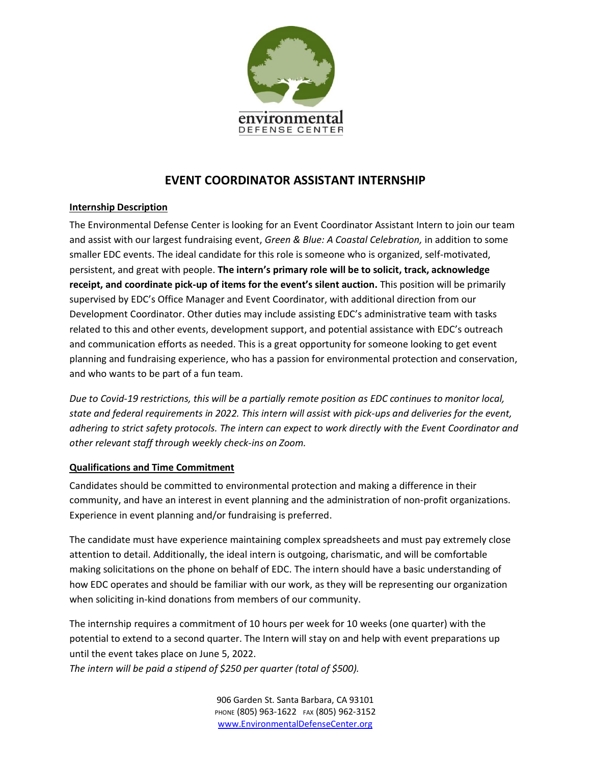

# **EVENT COORDINATOR ASSISTANT INTERNSHIP**

## **Internship Description**

The Environmental Defense Center is looking for an Event Coordinator Assistant Intern to join our team and assist with our largest fundraising event, *Green & Blue: A Coastal Celebration,* in addition to some smaller EDC events. The ideal candidate for this role is someone who is organized, self-motivated, persistent, and great with people. **The intern's primary role will be to solicit, track, acknowledge receipt, and coordinate pick-up of items for the event's silent auction.** This position will be primarily supervised by EDC's Office Manager and Event Coordinator, with additional direction from our Development Coordinator. Other duties may include assisting EDC's administrative team with tasks related to this and other events, development support, and potential assistance with EDC's outreach and communication efforts as needed. This is a great opportunity for someone looking to get event planning and fundraising experience, who has a passion for environmental protection and conservation, and who wants to be part of a fun team.

*Due to Covid-19 restrictions, this will be a partially remote position as EDC continues to monitor local, state and federal requirements in 2022. This intern will assist with pick-ups and deliveries for the event, adhering to strict safety protocols. The intern can expect to work directly with the Event Coordinator and other relevant staff through weekly check-ins on Zoom.* 

## **Qualifications and Time Commitment**

Candidates should be committed to environmental protection and making a difference in their community, and have an interest in event planning and the administration of non-profit organizations. Experience in event planning and/or fundraising is preferred.

The candidate must have experience maintaining complex spreadsheets and must pay extremely close attention to detail. Additionally, the ideal intern is outgoing, charismatic, and will be comfortable making solicitations on the phone on behalf of EDC. The intern should have a basic understanding of how EDC operates and should be familiar with our work, as they will be representing our organization when soliciting in-kind donations from members of our community.

The internship requires a commitment of 10 hours per week for 10 weeks (one quarter) with the potential to extend to a second quarter. The Intern will stay on and help with event preparations up until the event takes place on June 5, 2022.

*The intern will be paid a stipend of \$250 per quarter (total of \$500).*

906 Garden St. Santa Barbara, CA 93101 PHONE (805) 963-1622 FAX (805) 962-3152 [www.EnvironmentalDefenseCenter.org](http://www.environmentaldefensecenter.org/)